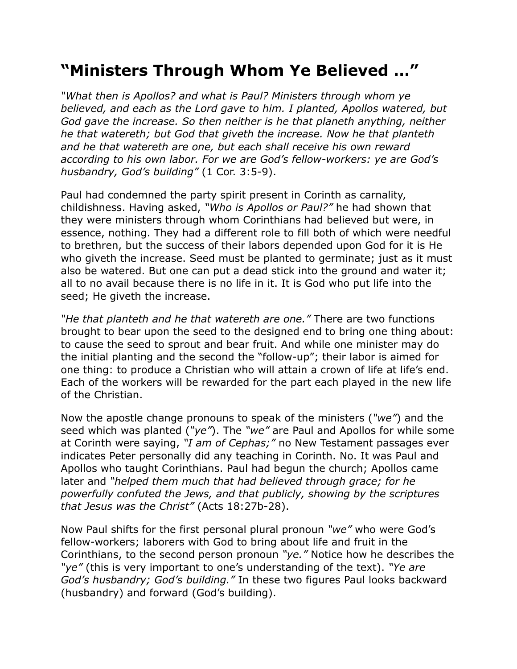## **"Ministers Through Whom Ye Believed …"**

*"What then is Apollos? and what is Paul? Ministers through whom ye believed, and each as the Lord gave to him. I planted, Apollos watered, but God gave the increase. So then neither is he that planeth anything, neither he that watereth; but God that giveth the increase. Now he that planteth and he that watereth are one, but each shall receive his own reward according to his own labor. For we are God's fellow-workers: ye are God's husbandry, God's building"* (1 Cor. 3:5-9).

Paul had condemned the party spirit present in Corinth as carnality, childishness. Having asked, *"Who is Apollos or Paul?"* he had shown that they were ministers through whom Corinthians had believed but were, in essence, nothing. They had a different role to fill both of which were needful to brethren, but the success of their labors depended upon God for it is He who giveth the increase. Seed must be planted to germinate; just as it must also be watered. But one can put a dead stick into the ground and water it; all to no avail because there is no life in it. It is God who put life into the seed; He giveth the increase.

*"He that planteth and he that watereth are one."* There are two functions brought to bear upon the seed to the designed end to bring one thing about: to cause the seed to sprout and bear fruit. And while one minister may do the initial planting and the second the "follow-up"; their labor is aimed for one thing: to produce a Christian who will attain a crown of life at life's end. Each of the workers will be rewarded for the part each played in the new life of the Christian.

Now the apostle change pronouns to speak of the ministers (*"we"*) and the seed which was planted (*"ye"*). The *"we"* are Paul and Apollos for while some at Corinth were saying, *"I am of Cephas;"* no New Testament passages ever indicates Peter personally did any teaching in Corinth. No. It was Paul and Apollos who taught Corinthians. Paul had begun the church; Apollos came later and *"helped them much that had believed through grace; for he powerfully confuted the Jews, and that publicly, showing by the scriptures that Jesus was the Christ"* (Acts 18:27b-28).

Now Paul shifts for the first personal plural pronoun *"we"* who were God's fellow-workers; laborers with God to bring about life and fruit in the Corinthians, to the second person pronoun *"ye."* Notice how he describes the *"ye"* (this is very important to one's understanding of the text). *"Ye are God's husbandry; God's building."* In these two figures Paul looks backward (husbandry) and forward (God's building).